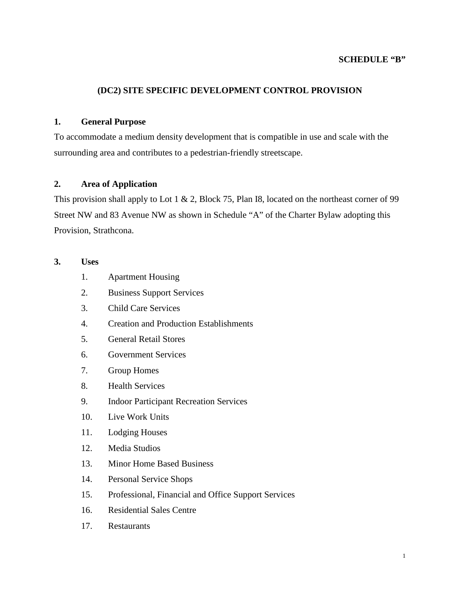#### **SCHEDULE "B"**

#### **(DC2) SITE SPECIFIC DEVELOPMENT CONTROL PROVISION**

#### **1. General Purpose**

To accommodate a medium density development that is compatible in use and scale with the surrounding area and contributes to a pedestrian-friendly streetscape.

#### **2. Area of Application**

This provision shall apply to Lot 1  $\&$  2, Block 75, Plan I8, located on the northeast corner of 99 Street NW and 83 Avenue NW as shown in Schedule "A" of the Charter Bylaw adopting this Provision, Strathcona.

## **3. Uses**

- 1. Apartment Housing
- 2. Business Support Services
- 3. Child Care Services
- 4. Creation and Production Establishments
- 5. General Retail Stores
- 6. Government Services
- 7. Group Homes
- 8. Health Services
- 9. Indoor Participant Recreation Services
- 10. Live Work Units
- 11. Lodging Houses
- 12. Media Studios
- 13. Minor Home Based Business
- 14. Personal Service Shops
- 15. Professional, Financial and Office Support Services
- 16. Residential Sales Centre
- 17. Restaurants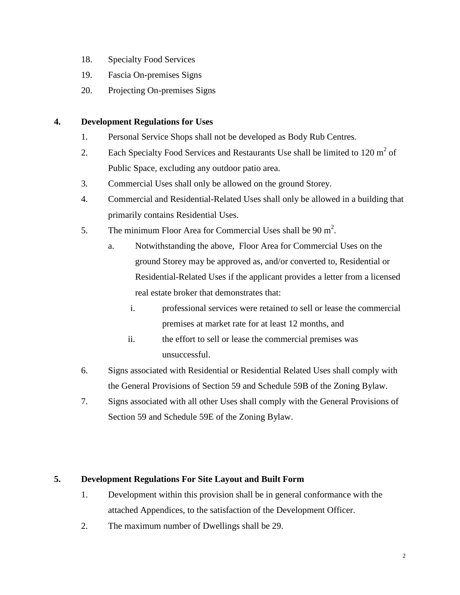- 18. Specialty Food Services
- 19. Fascia On-premises Signs
- 20. Projecting On-premises Signs

## **4. Development Regulations for Uses**

- 1. Personal Service Shops shall not be developed as Body Rub Centres.
- 2. Each Specialty Food Services and Restaurants Use shall be limited to  $120 \text{ m}^2$  of Public Space, excluding any outdoor patio area.
- 3. Commercial Uses shall only be allowed on the ground Storey.
- 4. Commercial and Residential-Related Uses shall only be allowed in a building that primarily contains Residential Uses.
- 5. The minimum Floor Area for Commercial Uses shall be  $90 \text{ m}^2$ .
	- a. Notwithstanding the above, Floor Area for Commercial Uses on the ground Storey may be approved as, and/or converted to, Residential or Residential-Related Uses if the applicant provides a letter from a licensed real estate broker that demonstrates that:
		- i. professional services were retained to sell or lease the commercial premises at market rate for at least 12 months, and
		- ii. the effort to sell or lease the commercial premises was unsuccessful.
- 6. Signs associated with Residential or Residential Related Uses shall comply with the General Provisions of Section 59 and Schedule 59B of the Zoning Bylaw.
- 7. Signs associated with all other Uses shall comply with the General Provisions of Section 59 and Schedule 59E of the Zoning Bylaw.

# **5. Development Regulations For Site Layout and Built Form**

- 1. Development within this provision shall be in general conformance with the attached Appendices, to the satisfaction of the Development Officer.
- 2. The maximum number of Dwellings shall be 29.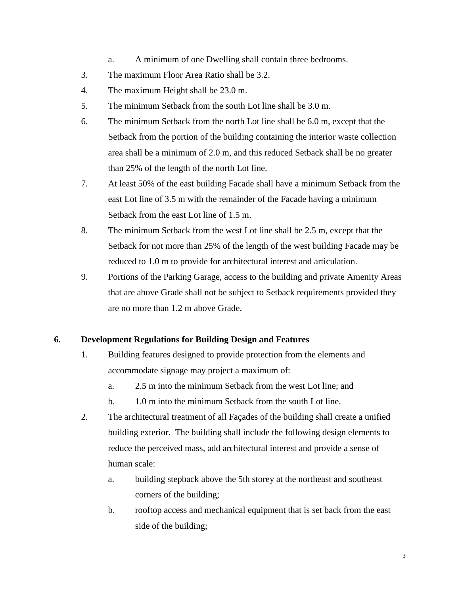- a. A minimum of one Dwelling shall contain three bedrooms.
- 3. The maximum Floor Area Ratio shall be 3.2.
- 4. The maximum Height shall be 23.0 m.
- 5. The minimum Setback from the south Lot line shall be 3.0 m.
- 6. The minimum Setback from the north Lot line shall be 6.0 m, except that the Setback from the portion of the building containing the interior waste collection area shall be a minimum of 2.0 m, and this reduced Setback shall be no greater than 25% of the length of the north Lot line.
- 7. At least 50% of the east building Facade shall have a minimum Setback from the east Lot line of 3.5 m with the remainder of the Facade having a minimum Setback from the east Lot line of 1.5 m.
- 8. The minimum Setback from the west Lot line shall be 2.5 m, except that the Setback for not more than 25% of the length of the west building Facade may be reduced to 1.0 m to provide for architectural interest and articulation.
- 9. Portions of the Parking Garage, access to the building and private Amenity Areas that are above Grade shall not be subject to Setback requirements provided they are no more than 1.2 m above Grade.

## **6. Development Regulations for Building Design and Features**

- 1. Building features designed to provide protection from the elements and accommodate signage may project a maximum of:
	- a. 2.5 m into the minimum Setback from the west Lot line; and
	- b. 1.0 m into the minimum Setback from the south Lot line.
- 2. The architectural treatment of all Façades of the building shall create a unified building exterior. The building shall include the following design elements to reduce the perceived mass, add architectural interest and provide a sense of human scale:
	- a. building stepback above the 5th storey at the northeast and southeast corners of the building;
	- b. rooftop access and mechanical equipment that is set back from the east side of the building;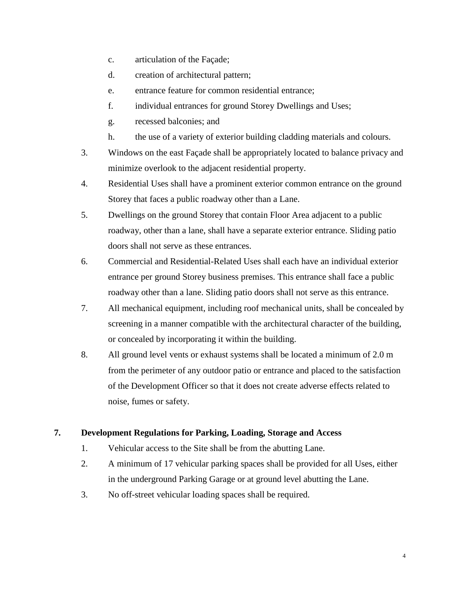- c. articulation of the Façade;
- d. creation of architectural pattern;
- e. entrance feature for common residential entrance;
- f. individual entrances for ground Storey Dwellings and Uses;
- g. recessed balconies; and
- h. the use of a variety of exterior building cladding materials and colours.
- 3. Windows on the east Façade shall be appropriately located to balance privacy and minimize overlook to the adjacent residential property.
- 4. Residential Uses shall have a prominent exterior common entrance on the ground Storey that faces a public roadway other than a Lane.
- 5. Dwellings on the ground Storey that contain Floor Area adjacent to a public roadway, other than a lane, shall have a separate exterior entrance. Sliding patio doors shall not serve as these entrances.
- 6. Commercial and Residential-Related Uses shall each have an individual exterior entrance per ground Storey business premises. This entrance shall face a public roadway other than a lane. Sliding patio doors shall not serve as this entrance.
- 7. All mechanical equipment, including roof mechanical units, shall be concealed by screening in a manner compatible with the architectural character of the building, or concealed by incorporating it within the building.
- 8. All ground level vents or exhaust systems shall be located a minimum of 2.0 m from the perimeter of any outdoor patio or entrance and placed to the satisfaction of the Development Officer so that it does not create adverse effects related to noise, fumes or safety.

#### **7. Development Regulations for Parking, Loading, Storage and Access**

- 1. Vehicular access to the Site shall be from the abutting Lane.
- 2. A minimum of 17 vehicular parking spaces shall be provided for all Uses, either in the underground Parking Garage or at ground level abutting the Lane.
- 3. No off-street vehicular loading spaces shall be required.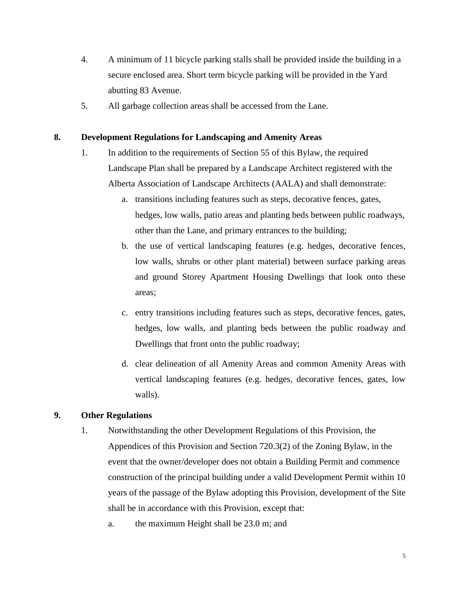- 4. A minimum of 11 bicycle parking stalls shall be provided inside the building in a secure enclosed area. Short term bicycle parking will be provided in the Yard abutting 83 Avenue.
- 5. All garbage collection areas shall be accessed from the Lane.

#### **8. Development Regulations for Landscaping and Amenity Areas**

- 1. In addition to the requirements of Section 55 of this Bylaw, the required Landscape Plan shall be prepared by a Landscape Architect registered with the Alberta Association of Landscape Architects (AALA) and shall demonstrate:
	- a. transitions including features such as steps, decorative fences, gates, hedges, low walls, patio areas and planting beds between public roadways, other than the Lane, and primary entrances to the building;
	- b. the use of vertical landscaping features (e.g. hedges, decorative fences, low walls, shrubs or other plant material) between surface parking areas and ground Storey Apartment Housing Dwellings that look onto these areas;
	- c. entry transitions including features such as steps, decorative fences, gates, hedges, low walls, and planting beds between the public roadway and Dwellings that front onto the public roadway;
	- d. clear delineation of all Amenity Areas and common Amenity Areas with vertical landscaping features (e.g. hedges, decorative fences, gates, low walls).

## **9. Other Regulations**

- 1. Notwithstanding the other Development Regulations of this Provision, the Appendices of this Provision and Section 720.3(2) of the Zoning Bylaw, in the event that the owner/developer does not obtain a Building Permit and commence construction of the principal building under a valid Development Permit within 10 years of the passage of the Bylaw adopting this Provision, development of the Site shall be in accordance with this Provision, except that:
	- a. the maximum Height shall be 23.0 m; and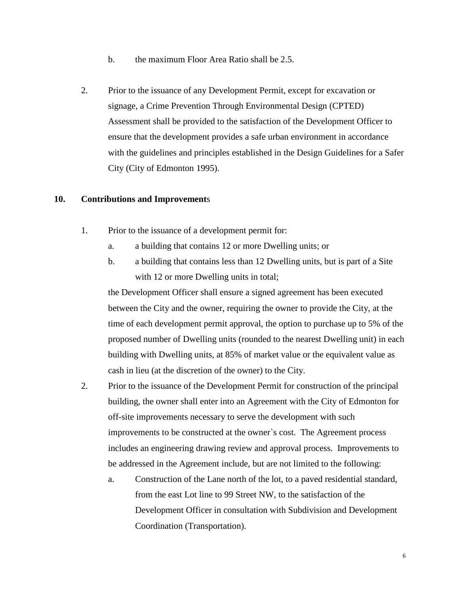- b. the maximum Floor Area Ratio shall be 2.5.
- 2. Prior to the issuance of any Development Permit, except for excavation or signage, a Crime Prevention Through Environmental Design (CPTED) Assessment shall be provided to the satisfaction of the Development Officer to ensure that the development provides a safe urban environment in accordance with the guidelines and principles established in the Design Guidelines for a Safer City (City of Edmonton 1995).

#### **10. Contributions and Improvement**s

- 1. Prior to the issuance of a development permit for:
	- a. a building that contains 12 or more Dwelling units; or
	- b. a building that contains less than 12 Dwelling units, but is part of a Site with 12 or more Dwelling units in total;

the Development Officer shall ensure a signed agreement has been executed between the City and the owner, requiring the owner to provide the City, at the time of each development permit approval, the option to purchase up to 5% of the proposed number of Dwelling units (rounded to the nearest Dwelling unit) in each building with Dwelling units, at 85% of market value or the equivalent value as cash in lieu (at the discretion of the owner) to the City.

- 2. Prior to the issuance of the Development Permit for construction of the principal building, the owner shall enter into an Agreement with the City of Edmonton for off-site improvements necessary to serve the development with such improvements to be constructed at the owner`s cost. The Agreement process includes an engineering drawing review and approval process. Improvements to be addressed in the Agreement include, but are not limited to the following:
	- a. Construction of the Lane north of the lot, to a paved residential standard, from the east Lot line to 99 Street NW, to the satisfaction of the Development Officer in consultation with Subdivision and Development Coordination (Transportation).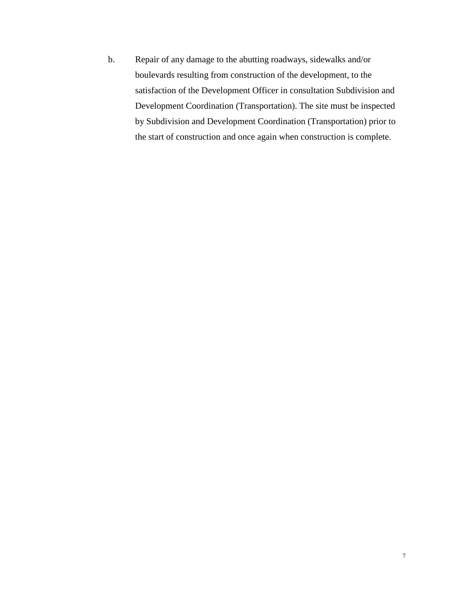b. Repair of any damage to the abutting roadways, sidewalks and/or boulevards resulting from construction of the development, to the satisfaction of the Development Officer in consultation Subdivision and Development Coordination (Transportation). The site must be inspected by Subdivision and Development Coordination (Transportation) prior to the start of construction and once again when construction is complete.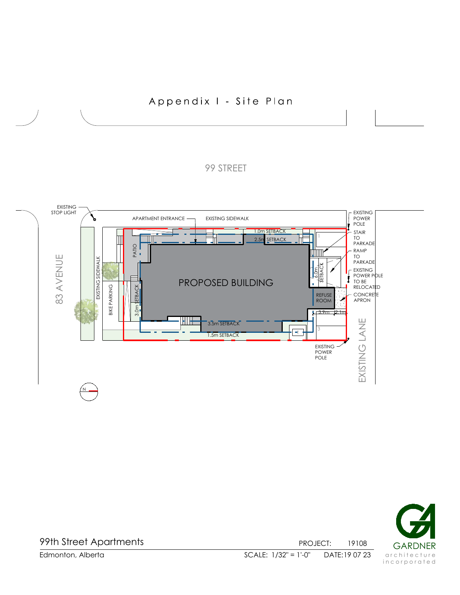# Appendix I - Site Plan

# 99 STREET





99th Street Apartments

PROJECT: 19108 GARDNER 19108 DATE: 19 07 23

Edmonton, Alberta DATE: SCALE: 1/32" = 1'-0"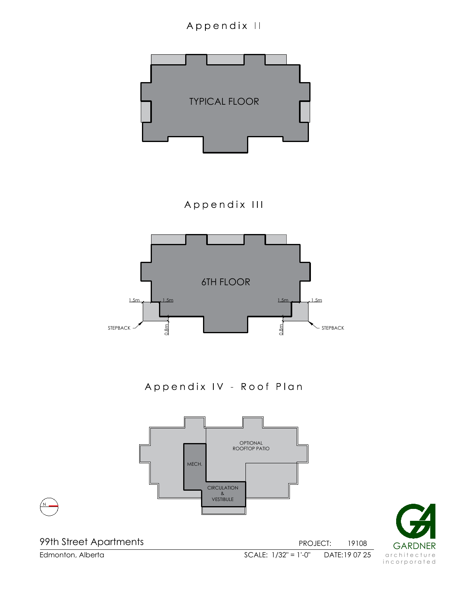# Appendix II





99th Street Apartments

N

Edmonton, Alberta DATE: SCALE: 1/32" = 1'-0" 19 07 25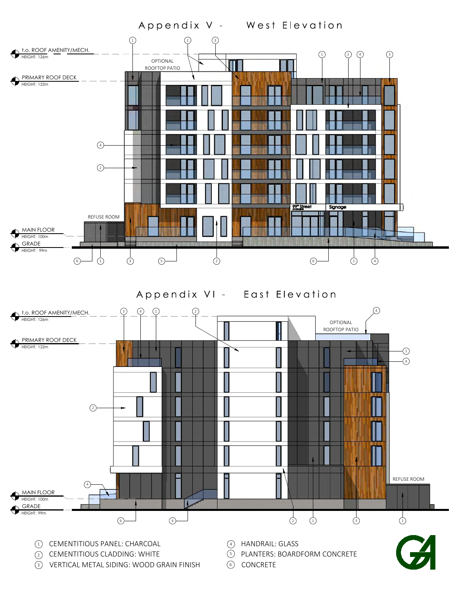